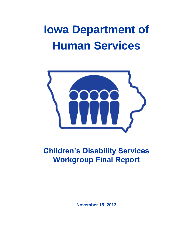# **Iowa Department of Human Services**



# **Children's Disability Services Workgroup Final Report**

**November 15, 2013**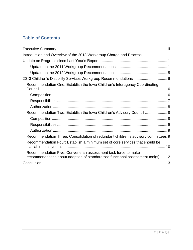# **Table of Contents**

| Introduction and Overview of the 2013 Workgroup Charge and Process 1                                                                             |
|--------------------------------------------------------------------------------------------------------------------------------------------------|
|                                                                                                                                                  |
|                                                                                                                                                  |
|                                                                                                                                                  |
| 2013 Children's Disability Services Workgroup Recommendations  6                                                                                 |
| Recommendation One: Establish the Iowa Children's Interagency Coordinating                                                                       |
|                                                                                                                                                  |
|                                                                                                                                                  |
|                                                                                                                                                  |
| Recommendation Two: Establish the Iowa Children's Advisory Council  8                                                                            |
|                                                                                                                                                  |
|                                                                                                                                                  |
|                                                                                                                                                  |
| Recommendation Three: Consolidation of redundant children's advisory committees 9                                                                |
| Recommendation Four: Establish a minimum set of core services that should be                                                                     |
| Recommendation Five: Convene an assessment task force to make<br>recommendations about adoption of standardized functional assessment tool(s) 12 |
|                                                                                                                                                  |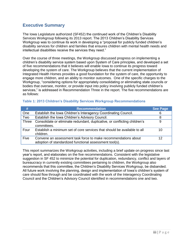# <span id="page-2-0"></span>**Executive Summary**

The Iowa Legislature authorized (SF452) the continued work of the Children's Disability Services Workgroup following its 2013 report. The 2013 Children's Disability Services Workgroup was to continue its work in developing a "proposal for publicly funded children's disability services for children and families that ensures children with mental health needs and intellectual disabilities receive the services they need."

Over the course of three meetings, the Workgroup discussed progress on implementing a children's disability service system based upon System of Care principles, and developed a set of five recommendations that it believes will enable Iowa to continue its progress toward developing the system of care. The Workgroup believes that the current implementation of Integrated Health Homes provides a good foundation for the system of care, the opportunity to engage more children, and an ability to monitor outcomes. One of the specific charges to the Workgroup, "considering options for appropriately consolidating or eliminating state councils or bodies that oversee, monitor, or provide input into policy involving publicly funded children's services," is addressed in Recommendation Three in the report. The five recommendations are as follows:

| #     | <b>Recommendation</b>                                                                                                     | <b>See Page</b> |
|-------|---------------------------------------------------------------------------------------------------------------------------|-----------------|
| One   | Establish the Iowa Children's Interagency Coordinating Council.                                                           | 6               |
| Two   | Establish the Iowa Children's Advisory Council.                                                                           | 8               |
| Three | Consolidate or eliminate redundant, duplicative, or conflicting children's<br>committees.                                 | 9               |
| Four  | Establish a minimum set of core services that should be available to all<br>children.                                     | 10              |
| Five  | Convene an assessment task force to make recommendations about<br>adoption of standardized functional assessment tool(s). | 12              |

#### **Table 1: 2013 Children's Disability Services Workgroup Recommendations**

This report summarizes the Workgroup activities, including a brief update on progress since last year's report, and elaborates on the five recommendations. Consistent with the legislative suggestion in SF 452 to minimize the potential for duplication, redundancy, conflict and layers of bureaucracy in currently existing committees pertaining to children, the Workgroup also recommends that this committee, the Children's Disability Services Workgroup, be disbanded. All future work involving the planning, design and implementation of Iowa's children's system of care should flow through and be coordinated with the work of the Interagency Coordinating Council and the Children's Advisory Council identified in recommendations one and two.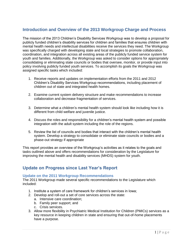# <span id="page-3-0"></span>**Introduction and Overview of the 2013 Workgroup Charge and Process**

The mission of the 2013 Children's Disability Services Workgroup was to develop a proposal for publicly funded children's disability services for children and families that ensures children with mental health needs and intellectual disabilities receive the services they need. The Workgroup was specifically charged with developing state and local strategies to promote collaboration, coordination, and integration across all existing areas of the publicly funded service system for youth and families. Additionally, the Workgroup was asked to consider options for appropriately consolidating or eliminating state councils or bodies that oversee, monitor, or provide input into policy involving publicly funded youth services. To accomplish its goals the Workgroup was assigned specific tasks which included:

- 1. Receive reports and updates on implementation efforts from the 2011 and 2012 Children's Disability Services Workgroup recommendations, including placement of children out of state and integrated health homes.
- 2. Examine current system delivery structure and make recommendations to increase collaboration and decrease fragmentation of services.
- 3. Determine what a children's mental health system should look like including how it is different from child welfare and juvenile justice.
- 4. Discuss the roles and responsibility for a children's mental health system and possible integration with the adult system including the role of the regions.
- 5. Review the list of councils and bodies that interact with the children's mental health system. Develop a strategy to consolidate or eliminate state councils or bodies and a phase-out strategy if appropriate

This report provides an overview of the Workgroup's activities as it relates to the goals and tasks outlined above and offers recommendations for consideration by the Legislature for improving the mental health and disability services (MHDS) system for youth.

# <span id="page-3-1"></span>**Update on Progress since Last Year's Report**

#### <span id="page-3-2"></span>**Update on the 2011 Workgroup Recommendations**

The 2011 Workgroup made several specific recommendations to the Legislature which included:

- 1. Institute a system of care framework for children's services in Iowa;
- 2. Develop and roll-out a set of core services across the state:
	- a. Intensive care coordination;
	- b. Family peer support; and
	- c. Crisis services.
- 3. Allow more flexibility in Psychiatric Medical Institution for Children (PMICs) services as a key resource in keeping children in state and ensuring that out-of-home placements have a purpose.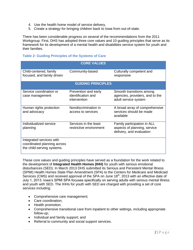- 4. Use the health home model of service delivery.
- 5. Create a strategy for bringing children back to Iowa from out-of-state.

There has been considerable progress on several of the recommendations from the 2011 Workgroup. First, DHS has adopted three core values and 10 guiding principles that serve as its framework for its development of a mental health and disabilities service system for youth and their families.

#### **Table 2: Guiding Principles of the Systems of Care**

| <b>CORE VALUES</b>                                                                    |                                                            |                                                                                         |  |  |  |
|---------------------------------------------------------------------------------------|------------------------------------------------------------|-----------------------------------------------------------------------------------------|--|--|--|
| Child-centered, family<br>focused, and family driven                                  | Community-based                                            | Culturally competent and<br>responsive                                                  |  |  |  |
| <b>GUIDING PRINCIPLES</b>                                                             |                                                            |                                                                                         |  |  |  |
| Service coordination or<br>case management                                            | Prevention and early<br>identification and<br>intervention | Smooth transitions among<br>agencies, providers, and to the<br>adult service system     |  |  |  |
| Human rights protection<br>and advocacy                                               | Nondiscrimination in<br>access to services                 | A broad array of comprehensive<br>services should be made<br>available                  |  |  |  |
| Individualized service<br>planning                                                    | Services in the least<br>restrictive environment           | Family participation in ALL<br>aspects of planning, service<br>delivery, and evaluation |  |  |  |
| Integrated services with<br>coordinated planning across<br>the child-serving systems. |                                                            |                                                                                         |  |  |  |

These core values and guiding principles have served as a foundation for the work related to the development of **Integrated Health Homes (IHH)** for youth with serious emotional disturbances (SED). In March 2013 DHS submitted its Serious and Persistent Mental Illness (SPMI) Health Homes State Plan Amendment (SPA) to the Centers for Medicare and Medicaid Services (CMS) and received approval of the SPA on June 18<sup>th</sup>, 2013 with an effective date of July 1, 2013. Iowa's SPMI SPA focuses specifically on serving adults with serious mental illness and youth with SED. The IHHs for youth with SED are charged with providing a set of core services including:

- Comprehensive care management;
- Care coordination:
- Health promotion;
- Comprehensive transitional care from inpatient to other settings, including appropriate follow-up;
- Individual and family support; and
- Referral to community and social support services.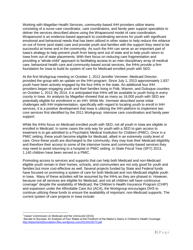Working with Magellan Health Services, community-based IHH providers utilize teams consisting of a nurse care coordinator, care coordinators, and family peer support specialists to deliver the services described above using the Wraparound model of care coordination. Wraparound is an evidence-based approach to coordinating services for youth with significant emotional and behavioral needs that has been utilized in other states to help reduce the reliance on out of home (and state) care and provide youth and families with the support they need to be successful at home and in the community. As such the IHH can serve as an important part of Iowa's strategy to help prevent youth from being sent out of state and to help youth return to Iowa from out of state placements. With their focus on reducing care fragmentation and providing a "whole-child" approach to facilitating access to an inter-disciplinary array of medical care, behavioral health care and community-based social services, the IHHs provide a firm foundation for Iowa to build its system of care for Medicaid enrolled youth with SED.

At the first Workgroup meeting on October 1, 2013 Jennifer Vermeer, Medicaid Director, provided the group with an update on the IHH program. Since July 1, 2013 approximately 1,937 youth have been actively engaged by the four IHHs in the state. An additional four IHH providers began engaging youth and their families living in Polk, Warren, and Dubuque counties on October 1, 2013. By 2014, it is anticipated that IHHs will be available to youth living in every county in Iowa. An analysis by Magellan showed that as many as 16,000 youth with SED are potentially eligible for enrollment in an IHH. While Ms. Vermeer described some initial challenges with IHH implementation, specifically with regard to locating youth to enroll in IHH services, it is a positive development that Iowa is utilizing the IHH platform to implement two core services first identified by the 2011 Workgroup: intensive care coordination and family peer support.

While the IHHs focus on Medicaid enrolled youth with SED, not all youth in Iowa are eligible or enrolled in Medicaid. In some cases the only way for youth with a SED to gain access to treatment is to get admitted to a Psychiatric Medical Institution for Children (PMIC). Once in a PMIC setting, these youth become eligible for Medicaid, albeit in an extremely costly level of care. Once these youth are discharged to the community, they may lose their Medicaid eligibility and therefore their access to some of the intensive home and community-based services they may need to avoid returning to a hospital or PMIC setting. In State Fiscal Year (SFY) 2013, 1,140 children have been served in a PMIC.

Promoting access to services and supports that can help both Medicaid and non-Medicaid eligible youth remain in their homes, schools, and communities are not only good for youth and families but more cost-effective as well. Several projects funded by State and Federal funds have focused on promoting a system of care for both Medicaid and non-Medicaid eligible youth in Iowa. Many of these activities will be assumed by the IHHs as they are phased in. However, because not all services are eligible for Medicaid, and not all children will have continuous coverage<sup>1</sup> despite the availability of Medicaid, the Children's Health Insurance Program (CHIP) and expansion under the Affordable Care Act (ACA), the Workgroup encourages DHS to continue utilizing these funds to ensure the availability of important, non-Medicaid supports. The current system of care projects in Iowa include:

 $\overline{a}$  $1$  Kaiser Commission on Medicaid and the Uninsured (2010).

Secrets to Success: An Analysis of Four States at the Forefront of the Nation's Gains in Children's Health Coverage. <http://kaiserfamilyfoundation.files.wordpress.com/2013/01/8273.pdf>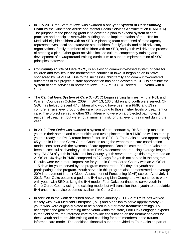- In July 2013, the State of Iowa was awarded a one-year *System of Care Planning Grant* by the Substance Abuse and Mental Health Services Administration (SAMHSA). The purpose of the planning grant is to develop a plan to expand system of care practices and principles statewide, building on the implementation of the IHHs for Medicaid-eligible children with an SED. A planning team comprised of state agency representatives, local and statewide stakeholders, family/youth/ and child advocacy organizations, family members of children with an SED, and youth will drive the process of creating a plan. Other grant activities include cultural competency training and development of a wraparound training curriculum to support implementation of SOC principles statewide.
- **Community Circle of Care (CCC)** is an existing community-based system of care for children and families in the northeastern counties in Iowa. It began as an initiative sponsored by SAMHSA. Due to the successful child/family and community-centered outcomes of this project, a state appropriation has been devoted to CCC to continue the system of care services in northeast Iowa. In SFY 13 CCC served 1353 youth with a SED.
- The *Central Iowa System of Care* (CI-SOC) began serving families living in Polk and Warren Counties in October 2009. In SFY 13, 136 children and youth were served. CI-SOC has helped prevent 47 children who would have been in a PMIC and 13 in comprehensive level group foster care from going to those higher levels of treatment or care. The project served another 33 children who were on a projected path toward residential treatment but were not at imminent risk for that level of treatment during the year.
- In 2012, *Four Oaks* was awarded a system of care contract by DHS to help maintain youth in their homes and communities and avoid placement in a PMIC as well as to help youth already in a PMIC return home faster. In SFY 13, Four Oaks served approximately 65 youth in Linn and Cerro Gordo Counties using the wraparound care coordination model consistent with the systems of care approach. Data indicate that Four Oaks has been successful at diverting youth from PMIC placement and reducing average length of stay (ALOS) of youth in PMIC. In Linn County, youth served through this program had an ALOS of 146 days in PMIC compared to 272 days for youth not served in the program. Results were even more impressive for youth in Cerro Gordo County with an ALOS of 115 days for youth served by the program compared to 291 days for youth not participating in the program. Youth served in this program also demonstrated an average 20% improvement in their Global Assessment of Functioning (GAF) scores. As of July 1, 2013, Four Oaks became a pediatric IHH serving Linn County and will continue to work with youth with SED utilizing the IHH model. Four Oaks continues to serve youth in Cerro Gordo County using the existing model but will transition these youth to a pediatric IHH once this service becomes available in Cerro Gordo.
- In addition to the work described above, since January 2011, **Four Oaks** has worked closely with Iowa Medicaid Enterprise (IME) and Magellan to serve approximately 26 youth who were originally slated to be placed in out-of-state treatment settings. To accomplish the goal of treating these youth within the state, Four Oaks engaged experts in the field of trauma-informed care to provide consultation on the treatment plans for these youth and to provide training and coaching for staff members in the traumainformed care model. The additional financial support provided to Four Oaks as part of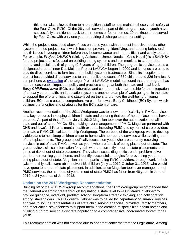this effort also allowed them to hire additional staff to help maintain these youth safely at the Four Oaks PMIC. Of the 26 youth served as part of this program, seven youth have successfully transitioned back to their homes or foster homes, 19 continue to be served by Four Oaks, with only one youth requiring discharge to another setting.

While the projects described above focus on those youth with the most intensive needs, other system oriented projects exist which focus on preventing, identifying, and treating behavioral health issues in young children before they become worse and more difficult and costly to treat. For example, *Project LAUNCH* (Linking Actions to Unmet Needs in Child Health) is a SAMHSA funded project that is focused on building strong systems and communities to support the mental and social health of young (0-8 years of age) children. The geographic service area is a designated area of inner Des Moines. Project LAUNCH began in 2009 and its funds are used to provide direct services to families and to build system infrastructure. Since its inception, the project has provided direct services to an unduplicated count of 339 children and 326 families. A comprehensive [evaluation](http://www.projectlaunchiowa.org/Data%20and%20Evaluation/REVISED%20EVAL%20REPORT%206-3-13.pdf) of the larger Project LAUNCH model has found that the program has had a measureable impact on policy and practice change at both the state and local level. *Early Childhood Iowa* (ECI), a collaborative and comprehensive partnership for the integration of an early care, health, and education system is another example of work going on in the state to support the efforts of local and state-level partners to promote the well-being of young children. ECI has created a comprehensive plan for Iowa's Early Childhood (EC) System which outlines the priorities and strategies for the EC system of care.

Another recommendation of the 2011 Workgroup was to allow more flexibility in PMIC services as a key resource in keeping children in state and ensuring that out-of-home placements have a purpose. As part of that effort, in July 1, 2012 Magellan took over the authorizations of all instate and out-of-state PMICs. Since taking over management of PMIC, Magellan partnered with DHS and Iowa's children's mental health experts, including PMIC and system of care providers to create a PMIC Clinical Leadership Workgroup. The purpose of the workgroup was to develop viable plans to help keep children closer to home with appropriate services while avoiding outof-state placements. The group specifically focuses on youth who are currently receiving services in out of state PMIC as well as youth who are at risk of being placed out-of-state. The group reviews clinical information for youth who are currently in out-of-state placements and those at risk of out-of-state placement. They also discuss diagnostic trends, problem solve barriers to returning youth home, and identify successful strategies for preventing youth from being placed out-of-state. Magellan and the participating PMIC providers, through work in their twice monthly calls, were able to divert 66 children (July 1, 2012-October 31, 2013) who would have gone to an out-of-state placement. In addition, since Magellan took over management of PMIC services, the numbers of youth in out-of-state PMIC has fallen from 46 youth in June of 2012 to 34 youth as of June 2013.

#### <span id="page-7-0"></span>**Update on the 2012 Workgroup Recommendation**

Building off of the 2011 Workgroup recommendations, the 2012 Workgroup recommended that the General Assembly create through legislation a state level Iowa Children's "Cabinet" to provide guidance, oversight, problem solving, long-term strategic thinking, and collaboration among stakeholders. This Children's Cabinet was to be led by Department of Human Services and was to include representatives of state child serving agencies, providers, family members, and other critical stakeholders to support them in the creation of specialized health homes and building out from serving a discrete population to a comprehensive, coordinated system for all youth.

This recommendation was not enacted due to apparent concerns from the Legislature. Among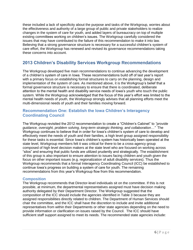these included a lack of specificity about the purpose and tasks of the Workgroup, worries about the effectiveness and authority of a large group of public and private stakeholders to realize changes in the system of care for youth, and added layers of bureaucracy on top of multiple existing committees working on children's issues. The Workgroup carefully considered the issues that may have contributed to the failure of this recommendation to make it into law. Believing that a strong governance structure is necessary for a successful children's system of care effort, the Workgroup has renewed and revised its governance recommendations taking these concerns into account.

# <span id="page-8-0"></span>**2013 Children's Disability Services Workgroup Recommendations**

The Workgroup developed five main recommendations to continue advancing the development of a children's system of care in Iowa. These recommendations build off of last year's report with a primary focus on establishing formal structures to carry on the planning, design and implementation of the system of care. As mentioned above, it is the Workgroup's belief that a formal governance structure is necessary to ensure that there is coordinated, deliberate attention to the mental health and disability service needs of Iowa's youth who touch the public system. While the Workgroup acknowledged that the focus of this year's effort was limited to the mental health needs of youth, the Workgroup strongly advises that all planning efforts meet the multi-dimensional needs of youth and their families moving forward.

#### <span id="page-8-1"></span>**Recommendation One: Establish the Iowa Children's Interagency Coordinating Council**

The Workgroup revisited the 2012 recommendation to create a "Children's Cabinet" to *"provide guidance, oversight, problem solving, long-term strategic thinking, and collaboration…"* The Workgroup continues to believe that in order for Iowa's children's system of care to develop and effectively meet the needs of youth and their families, a high level group assigned responsibility for these tasks is essential. Since Iowa's children's system has historically been operated at the state level, Workgroup members felt it was critical for there to be a cross-agency group composed of high level decision makers at the state level who are focused on working across "silos" and ensuring that public funds are utilized prudently and strategically. The establishment of this group is also important to ensure attention to issues facing children and youth given the focus on other important issues (e.g. regionalization of adult disability services). Thus the Workgroup recommends that a formal Interagency Coordinating Council (ICC) be established to continue Iowa's progress on building a system of care for youth. The remaining recommendations from this year's Workgroup flow from this recommendation.

#### <span id="page-8-2"></span>**Composition**

The Workgroup recommends that Director-level individuals sit on the committee. If this is not possible, at minimum, the departmental representatives assigned must have decision making authority delegated by their Department Director. The Workgroup suggested that the composition of the ICC should include the agencies identified in Table 3 because they are assigned responsibilities directly related to children. The Department of Human Services should chair the committee, and the ICC shall have the discretion to include and invite additional representatives from within their Departments or other state agencies depending on the need to provide information or clarification on issues raised by the Council. The ICC should have sufficient staff support assigned to meet its needs. The recommended state agencies include: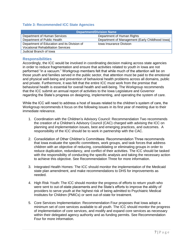#### **Table 3: Recommended ICC State Agencies**

| Department/Division Name                                                                 |                                                 |  |  |  |
|------------------------------------------------------------------------------------------|-------------------------------------------------|--|--|--|
| Department of Human Services                                                             | Department of Human Rights                      |  |  |  |
| Department of Public Health                                                              | Department of Management (Early Childhood Iowa) |  |  |  |
| Department of Education and its Division of<br><b>Vocational Rehabilitation Services</b> | <b>Iowa Insurance Division</b>                  |  |  |  |
| Judicial Branch of Iowa                                                                  |                                                 |  |  |  |

#### <span id="page-9-0"></span>**Responsibilities**

Accordingly, the ICC would be involved in coordinating decision making across state agencies in order to reduce fragmentation and ensure that activities related to youth in Iowa are not performed "in a vacuum." Workgroup members felt that while much of the attention will be on those youth and families served in the public sector, that attention must be paid to the emotional and physical well-being and prevention of behavioral health problems across all domains, public and private. Furthermore, it was felt that the entire ICC must work from the premise that behavioral health is essential for overall health and well-being. The Workgroup recommends that the ICC submit an annual report of activities to the Iowa Legislature and Governor regarding the State's progress on designing, implementing, and operating the system of care.

While the ICC will need to address a host of issues related to the children's system of care, the Workgroup recommends it focus on the following issues in its first year of meeting due to their immediate relevance.

- 1. Coordination with the Children's Advisory Council: Recommendation Two recommends the creation of a Children's Advisory Council (CAC) charged with advising the ICC on planning and implementation issues, best and emerging practices, and outcomes. A responsibility of the ICC should be to work in partnership with the CAC.
- 2. Consolidation of Other Children's Committees: Recommendation Three recommends that Iowa evaluate the specific committees, work groups, and task forces that address children with an objective of reducing, consolidating or eliminating groups in order to reduce duplication, redundancy, and conflict of their activities. The ICC should be tasked with the responsibility of conducting the specific analysis and taking the necessary action to achieve this objective. See Recommendation Three for more information.
- 3. Integrated Health Homes: The ICC should monitor the implementation of the Medicaid state plan amendment, and make recommendations to DHS for improvements as needed.
- 4. High Risk Youth: The ICC should monitor the progress of efforts to return youth who were sent to out-of-state placements and the State's efforts to improve the ability of providers to serve youth at the highest risk of being admitted to Psychiatric Medical Institutes for Children (PMICs) or sent out-of-state for treatment.
- 5. Core Services Implementation: Recommendation Four proposes that Iowa adopt a minimum set of core services available to all youth. The ICC should monitor the progress of implementation of core services, and modify and expand core services as necessary within their delegated agency authority and as funding permits. See Recommendation Four for more information.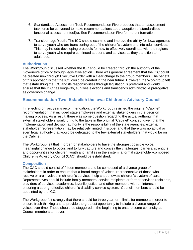- 6. Standardized Assessment Tool: Recommendation Five proposes that an assessment task force be convened to make recommendations about adoption of standardized functional assessment tool(s). See Recommendation Five for more information.
- 7. Transition-age Youth: The ICC should examine and improve the ability for Iowa agencies to serve youth who are transitioning out of the children's system and into adult services. This may include developing protocols for how to effectively coordinate with the regions to serve youth who require continued supports and services as they transition to adulthood.

#### <span id="page-10-0"></span>**Authorization**

The Workgroup discussed whether the ICC should be created through the authority of the Governor's office or through legislative action. There was general agreement that the ICC could be created now through Executive Order with a clear charge to the group members. The benefit of this approach is that the ICC could be created in the near future. However, the Workgroup felt that establishing the ICC and its responsibilities through legislation is preferred and would ensure that the ICC has longevity, survives elections and transcends administrative prerogative as governors change.

#### <span id="page-10-1"></span>**Recommendation Two: Establish the Iowa Children's Advisory Council**

In reflecting on last year's recommendation, the Workgroup revisited the original "Cabinet" recommendation that included state employees and external stakeholders in the decision making process. As a result, there was some question regarding the actual authority that external stakeholders would bring to the table in the original "Cabinet" concept given that the implementation and decision authority is the responsibility of the state agencies; external stakeholder representation may be relatively limited in scope, and that there was no actual or even legal authority that would be delegated to the few external stakeholders that would be on the Cabinet.

The Workgroup felt that in order for stakeholders to have the strongest possible voice, meaningful change to occur, and to fully capture and convey the challenges, barriers, strengths and opportunities for children, youth and families in the system, a formal stakeholder-composed Children's Advisory Council (CAC) should be established.

#### <span id="page-10-2"></span>**Composition**

The CAC should consist of fifteen members and be composed of a diverse group of stakeholders in order to ensure that a broad range of voices, representative of those who receive or are involved in children's services, help shape Iowa's children's system of care. Representatives should include family members, service recipients or former services recipients, providers of services, academics, juvenile justice, and other members with an interest in ensuring a strong, effective children's disability service system. Council members should be appointed by the ICC.

The Workgroup felt strongly that there should be three year term limits for members in order to ensure fresh thinking and to provide the greatest opportunity to include a diverse range of voices over time. These should be staggered in the beginning to ensure some continuity as Council members turn over.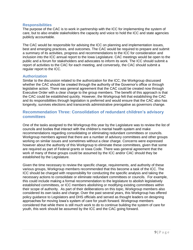#### <span id="page-11-0"></span>**Responsibilities**

The purpose of the CAC is to work in partnership with the ICC for implementing the system of care, but to also enable stakeholders the capacity and voice to hold the ICC and state agencies publicly accountable.

The CAC would be responsible for advising the ICC on planning and implementation issues, best and emerging practices, and outcomes. The CAC would be required to prepare and submit a summary of its activities, progress and recommendations to the ICC for consideration and inclusion into the ICC annual report to the Iowa Legislature. CAC meetings would be open to the public and a forum for stakeholders and advocates to inform its work. The ICC should submit a report of activities to the CAC for each meeting, and conversely, the CAC should submit a regular report to the ICC.

#### <span id="page-11-1"></span>**Authorization**

Similar to the discussion related to the authorization for the ICC, the Workgroup discussed whether the CAC should be created through the authority of the Governor's office or through legislative action. There was general agreement that the CAC could be created now through Executive Order with a clear charge to the group members. The benefit of this approach is that the CAC could be established quickly. However, the Workgroup felt that establishing the CAC and its responsibilities through legislation is preferred and would ensure that the CAC also has longevity, survives elections and transcends administrative prerogative as governors change.

#### <span id="page-11-2"></span>**Recommendation Three: Consolidation of redundant children's advisory committees**

One of the tasks assigned to the Workgroup this year by the Legislature was to review the list of councils and bodies that interact with the children's mental health system and make recommendations regarding consolidating or eliminating redundant committees or councils. Workgroup members agreed that there are a number of advisory committees and other groups working on similar issues and sometimes without a clear charge. Concerns were expressed however about the authority of this Workgroup to eliminate these committees, given that some are required as part of Federal grants or Iowa Code. There was general agreement that the work of many of these groups could be assumed by the ICC and/or CAC should they be established by the Legislature.

Given the time necessary to review the specific charge, requirements, and authority of these various groups, Workgroup members recommended that this become a task of the ICC. The ICC should be charged with responsibility for conducting the specific analysis and taking the necessary actions to consolidate or eliminate redundant committees or councils. For example, this could include making a formal recommendation to the legislature to abolish legislatively established committees, or ICC members abolishing or modifying existing committees within their scope of authority. As part of their deliberations on this topic, Workgroup members also considered its own tasks and charge. Over the past several years, this Workgroup has offered policy guidance to Legislators and DHS officials and served as thought leaders on designing approaches for moving Iowa's system of care for youth forward. Workgroup members considered that while there is still much work to do to continue building the system of care for youth, this work should be assumed by the ICC and the CAC going forward.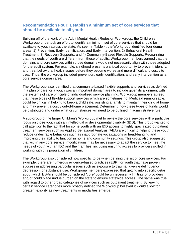#### <span id="page-12-0"></span>**Recommendation Four: Establish a minimum set of core services that should be available to all youth.**

Building off of the work of the Adult Mental Health Redesign Workgroup, the Children's Workgroup undertook an effort to identify a minimum set of core services that should be available to youth across the state. As seen in Table 4, the Workgroup identified four domain areas: 1) Prevention, Early Identification, and Early Intervention; 2) Behavioral Health Treatment; 3) Recovery Supports; and 4) Community-Based Flexible Supports. Recognizing that the needs of youth are different from those of adults, Workgroup members agreed that the domains and core services within those domains would not necessarily align with those adopted for the adult system. For example, childhood presents a critical opportunity to prevent, identify, and treat behavioral health issues before they become worse and more difficult and costly to treat. Thus, the workgroup included prevention, early identification, and early intervention as a core service domain area.

The Workgroup also identified that community-based flexible supports and services as defined in a plan of care for a youth was an important domain area to include given its alignment with the systems of care principle of individualized service planning. Workgroup members agreed that these types of flexible support services which are sometimes not Medicaid reimbursable, could be critical in helping to keep a child safe, assisting a family to maintain their child at home and may prevent a costly out-of-home placement. Determining how these types of funds would be distributed and under what circumstances will need to be outlined in administrative rule.

A sub-group of the larger Children's Workgroup met to review the core services with a particular focus on those youth with an intellectual or developmental disability (IDD). This group wanted to call attention to the fact that for some youth with an IDD access to highly specialized outpatient treatment services such as Applied Behavioral Analysis (ABA) are critical to helping these youth reduce undesirable behaviors such as inappropriate vocalizations or head-banging and improving their ability to function in home and community settings. This group also suggested that within any core service, modifications may be necessary to adapt the service to meet the needs of youth with an IDD and their families, including ensuring access to providers skilled in working with this population of children.

The Workgroup also considered how specific to be when defining the list of core services. For example, there are numerous evidence-based practices (EBP) for youth that have proven success in addressing particular issues such as exposure to trauma, juvenile delinquency, depression, or substance use. Workgroup members expressed that getting into specific detail about which EBPs should be considered "core" could be unnecessarily limiting for providers and/or could place undue burden on the state to ensure statewide access. The same was true with regard to other broad categories of services such as outpatient treatment. By leaving certain service categories more broadly defined the Workgroup believed it would allow for greater flexibility as new treatments or modalities emerge.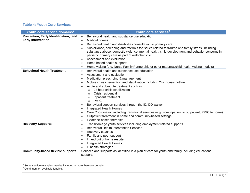#### **Table 4: Youth Core Services**

| Youth core service domains <sup>2</sup>                            | Youth core services <sup>3</sup>                                                                                                                                                                                                                                                                                                                                                                                                                                                                                                                                                                                                                                                                                       |
|--------------------------------------------------------------------|------------------------------------------------------------------------------------------------------------------------------------------------------------------------------------------------------------------------------------------------------------------------------------------------------------------------------------------------------------------------------------------------------------------------------------------------------------------------------------------------------------------------------------------------------------------------------------------------------------------------------------------------------------------------------------------------------------------------|
| Prevention, Early Identification, and<br><b>Early Intervention</b> | Behavioral health and substance use education<br>$\bullet$<br><b>Medical homes</b><br>$\bullet$<br>Behavioral health and disabilities consultation to primary care<br>$\bullet$<br>Surveillance, screening and referrals for issues related to trauma and family stress, including<br>substance abuse, domestic violence, mental health, child development and behavior concerns in<br>pediatric primary care as part of well-child visit<br>Assessment and evaluation<br>Home based health supports<br>Home visiting (e.g. Nurse Family Partnership or other maternal/child health visiting models)<br>$\bullet$                                                                                                      |
| <b>Behavioral Health Treatment</b>                                 | Behavioral health and substance use education<br>$\bullet$<br>Assessment and evaluation<br>$\bullet$<br>Medication prescribing & management<br>$\bullet$<br>Mobile crisis intervention and stabilization including 24-hr crisis hotline<br>Acute and sub-acute treatment such as:<br>23 hour crisis stabilization<br>$\bigcirc$<br>Crisis residential<br>$\circ$<br>Inpatient treatment<br>$\circ$<br><b>PMIC</b><br>$\Omega$<br>Behavioral support services through the ID/IDD waiver<br>Integrated Health Homes<br>٠<br>Care Coordination including transitional services (e.g. from inpatient to outpatient, PMIC to home)<br>Outpatient treatment in home and community-based settings<br>Evidence-based therapies |
| <b>Recovery Supports</b>                                           | Transition-age youth services including employment related supports<br>$\bullet$<br><b>Behavioral Health Intervention Services</b><br>Recovery coaches<br>$\bullet$<br>Family and peer support<br>$\bullet$<br>In and out of home respite<br>Integrated Health Homes<br>E-health strategies<br>$\bullet$                                                                                                                                                                                                                                                                                                                                                                                                               |
| <b>Community-based flexible supports</b>                           | Services and supports as identified in a plan of care for youth and family including educational<br>supports                                                                                                                                                                                                                                                                                                                                                                                                                                                                                                                                                                                                           |

 $2$  Some service examples may be included in more than one domain.

 $\overline{a}$ 

 $3$  Contingent on available funding.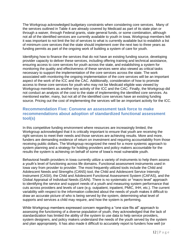The Workgroup acknowledged budgetary constraints when considering core services. Many of the services outlined in Table 4 are already covered by Medicaid as part of its state plan or through a waiver, through Federal grants, state general funds, or some combination, although not all of the identified services are currently available to youth in Iowa. Workgroup members felt it was important to not limit the list of services to what is currently available but to establish a list of minimum core services that the state should implement over the next two to three years as funding permits as part of the ongoing work of building a system of care for youth.

Identifying how to finance the services that do not have an existing funding source, developing provider capacity to deliver these services, including offering training and technical assistance, ensuring access to core services for youth across the state, and establishing a system for monitoring the quality and effectiveness of these services were also viewed as critical tasks necessary to support the implementation of the core services across the state. The work associated with monitoring the ongoing implementation of the core services will be an important aspect of the work of the ICC and the CAC. Additionally, consideration of how to promote access to these core services for youth who may not be Medicaid eligible was viewed by Workgroup members as another key activity of the ICC and the CAC. Finally, the Workgroup did not conduct an analysis of the cost to the state of implementing the identified core services. As mentioned earlier, many, but not all of the identified core services have an existing funding source. Pricing out the cost of implementing the services will be an important activity for the ICC.

#### <span id="page-14-0"></span>**Recommendation Five: Convene an assessment task force to make recommendations about adoption of standardized functional assessment tool(s)**

In this competitive funding environment where resources are increasingly limited, the Workgroup acknowledged that it is critically important to ensure that youth are receiving the right services to meet their needs and those services are achieving results. More and more, funders are demanding evidence of return on investment and requiring accountability from those receiving public dollars. The Workgroup recognized the need for a more systemic approach to system planning and a strategy for holding providers and policy makers accountable for the results the system is achieving on behalf of some of Iowa's most vulnerable youth.

Behavioral health providers in Iowa currently utilize a variety of instruments to help them assess a youth's level of functioning across life domains. Functional assessment instruments used in Iowa vary from provider to provider. The most frequently utilized tools include the Child and Adolescent Needs and Strengths (CANS) tool, the Child and Adolescent Service Intensity Instrument (CASII), the Child and Adolescent Functional Assessment System (CAFAS), and the Global Appraisal of Individual Needs (GAIN). There is no systematic or "macro level" approach to identifying the service and support needs of a youth and measuring system performance that cuts across providers and levels of care (e.g. outpatient, inpatient, PMIC, IHH, etc.). The current variability with respect to the information collected about the needs of youth makes it difficult to draw an accurate picture of who is being served by the system, determining what level of supports and services a child may require, and how the system is performing.

While Workgroup members expressed concern regarding a "one size fits all" approach to assessing the functioning of a diverse population of youth, they acknowledged that the lack of standardization has limited the ability of the system to use data to help service providers, system designers, and policy makers understand the needs of the youth served by the system and plan appropriately. It has also made it difficult to accurately report to funders how well (or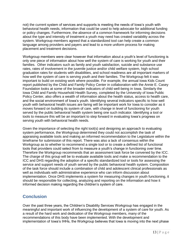not) the current system of services and supports is meeting the needs of Iowa's youth with behavioral health needs, information that could be used to help advocate for additional funding or policy changes. Furthermore, the absence of a common framework for informing decisions about the type and intensity of treatment a youth may need has created variability across the system. Workgroup members agreed that a standardized tool can help create a common language among providers and payers and lead to a more uniform process for making placement and treatment decisions.

Workgroup members were clear however that information about a youth's level of functioning is only one piece of information about how well the system of care is working for youth and their families. Other indicators such as family and youth satisfaction, suicide and substance use rates, rates of involvement in the juvenile justice and/or child welfare system, high school graduation rates for students with disabilities, and school readiness are all important markers of how well the system of care is serving youth and their families. The Workgroup felt it was important to build on existing work where possible. For example, the annual Iowa Kids Count report published by the Child and Family Policy Center in collaboration with the Annie E. Casey Foundation looks at some of the broader indicators of child well-being in Iowa. Similarly the Iowa Child and Family Household Health Survey, completed by the University of Iowa Public Policy Center, also offers a wealth of information about the health status, access to health care, and the social environment of Iowa's youth. Identifying several indicators specific to how well youth with behavioral health issues are faring will be important work for Iowa to consider as it moves forward on building its system of care, with change in level of functioning for youth served by the public behavioral health system being one such indicator. Identifying a tool or tools to measure this will be an important to step forward in evaluating Iowa's progress on serving youth with behavioral health needs.

Given the importance of selecting the right tool(s) and designing an approach to evaluating system performance, the Workgroup determined they could not accomplish the task of appraising available tools and making an informed recommendation to the Legislature within the timeframe for submission of this report. There was also a lack of consensus within the Workgroup as to whether to recommend a single tool or to create a defined list of functional tools that providers could select from to measure a youth's change in functioning over time. Therefore the Workgroup recommends that an assessment task force be convened by the ICC. The charge of this group will be to evaluate available tools and make a recommendation to the ICC and DHS regarding the adoption of a specific standardized tool or tools for assessing the service and support needs of youth served by the public behavioral health system. Composition of the task force should include a combination of child and adolescent clinical professionals as well as individuals with administrative experience who can inform discussion about implementation. Once DHS implements a system for measuring changes in youth functioning, it should be responsible for collecting, analyzing and reporting on the information and how it informed decision making regarding the children's system of care.

# <span id="page-15-0"></span>**Conclusion**

Over the past three years, the Children's Disability Services Workgroup has engaged in the meaningful and important work of influencing the development of a system of care for youth. As a result of the hard work and dedication of the Workgroup members, many of the recommendations of this body have been implemented. With the development and implementation of Iowa's IHHs, the Workgroup believes that Iowa is moving into the next phase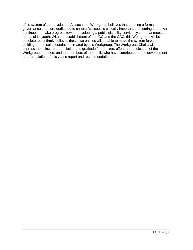of its system of care evolution. As such, the Workgroup believes that creating a formal governance structure dedicated to children's issues is critically important to ensuring that Iowa continues to make progress toward developing a public disability service system that meets the needs of its youth. With the establishment of the ICC and the CAC, this Workgroup will be obsolete, but it firmly believes these two entities will be able to move the system forward, building on the solid foundation created by this Workgroup. The Workgroup Chairs wish to express their sincere appreciation and gratitude for the time, effort, and dedication of the Workgroup members and the members of the public who have contributed to the development and formulation of this year's report and recommendations.